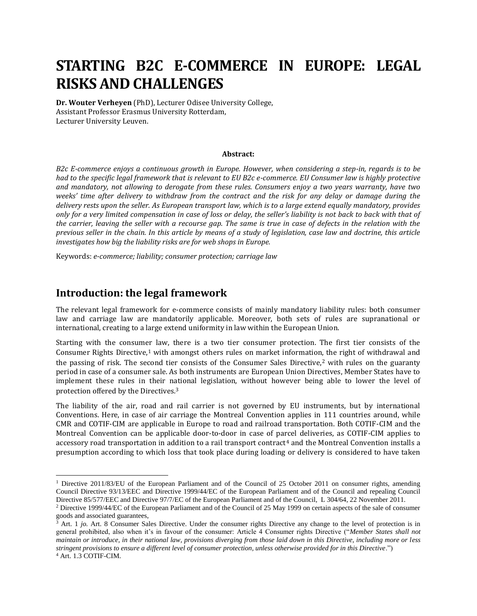# **STARTING B2C E-COMMERCE IN EUROPE: LEGAL RISKS AND CHALLENGES**

**Dr. Wouter Verheyen** (PhD), Lecturer Odisee University College, Assistant Professor Erasmus University Rotterdam, Lecturer University Leuven.

#### **Abstract:**

*B2c E-commerce enjoys a continuous growth in Europe. However, when considering a step-in, regards is to be had to the specific legal framework that is relevant to EU B2c e-commerce. EU Consumer law is highly protective and mandatory, not allowing to derogate from these rules. Consumers enjoy a two years warranty, have two weeks' time after delivery to withdraw from the contract and the risk for any delay or damage during the delivery rests upon the seller. As European transport law, which is to a large extend equally mandatory, provides only for a very limited compensation in case of loss or delay, the seller's liability is not back to back with that of the carrier, leaving the seller with a recourse gap. The same is true in case of defects in the relation with the previous seller in the chain. In this article by means of a study of legislation, case law and doctrine, this article investigates how big the liability risks are for web shops in Europe.*

Keywords: *e-commerce; liability; consumer protection; carriage law*

## **Introduction: the legal framework**

 $\overline{\phantom{a}}$ 

The relevant legal framework for e-commerce consists of mainly mandatory liability rules: both consumer law and carriage law are mandatorily applicable. Moreover, both sets of rules are supranational or international, creating to a large extend uniformity in law within the European Union.

Starting with the consumer law, there is a two tier consumer protection. The first tier consists of the Consumer Rights Directive, $1$  with amongst others rules on market information, the right of withdrawal and the passing of risk. The second tier consists of the Consumer Sales Directive, $\frac{2}{3}$  with rules on the guaranty period in case of a consumer sale. As both instruments are European Union Directives, Member States have to implement these rules in their national legislation, without however being able to lower the level of protection offered by the Directives.<sup>3</sup>

The liability of the air, road and rail carrier is not governed by EU instruments, but by international Conventions. Here, in case of air carriage the Montreal Convention applies in 111 countries around, while CMR and COTIF-CIM are applicable in Europe to road and railroad transportation. Both COTIF-CIM and the Montreal Convention can be applicable door-to-door in case of parcel deliveries, as COTIF-CIM applies to accessory road transportation in addition to a rail transport contract<sup>4</sup> and the Montreal Convention installs a presumption according to which loss that took place during loading or delivery is considered to have taken

<sup>&</sup>lt;sup>1</sup> Directive 2011/83/EU of the European Parliament and of the Council of 25 October 2011 on consumer rights, amending Council Directive 93/13/EEC and Directive 1999/44/EC of the European Parliament and of the Council and repealing Council Directive 85/577/EEC and Directive 97/7/EC of the European Parliament and of the Council, L 304/64, 22 November 2011.

<sup>2</sup> Directive 1999/44/EC of the European Parliament and of the Council of 25 May 1999 on certain aspects of the sale of consumer goods and associated guarantees,

<sup>&</sup>lt;sup>3</sup> Art. 1 *jo.* Art. 8 Consumer Sales Directive. Under the consumer rights Directive any change to the level of protection is in general prohibited, also when it's in favour of the consumer: Article 4 Consumer rights Directive ("*Member States shall not maintain or introduce, in their national law, provisions diverging from those laid down in this Directive, including more or less stringent provisions to ensure a different level of consumer protection, unless otherwise provided for in this Directive*.") <sup>4</sup> Art. 1.3 COTIF-CIM.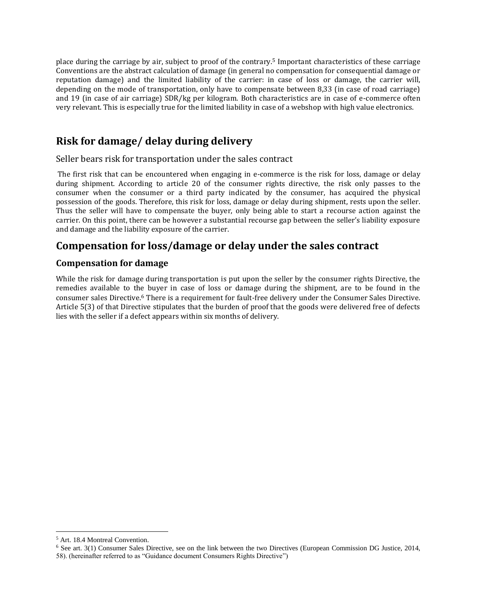place during the carriage by air, subject to proof of the contrary.<sup>5</sup> Important characteristics of these carriage Conventions are the abstract calculation of damage (in general no compensation for consequential damage or reputation damage) and the limited liability of the carrier: in case of loss or damage, the carrier will, depending on the mode of transportation, only have to compensate between 8,33 (in case of road carriage) and 19 (in case of air carriage) SDR/kg per kilogram. Both characteristics are in case of e-commerce often very relevant. This is especially true for the limited liability in case of a webshop with high value electronics.

# **Risk for damage/ delay during delivery**

Seller bears risk for transportation under the sales contract

The first risk that can be encountered when engaging in e-commerce is the risk for loss, damage or delay during shipment. According to article 20 of the consumer rights directive, the risk only passes to the consumer when the consumer or a third party indicated by the consumer, has acquired the physical possession of the goods. Therefore, this risk for loss, damage or delay during shipment, rests upon the seller. Thus the seller will have to compensate the buyer, only being able to start a recourse action against the carrier. On this point, there can be however a substantial recourse gap between the seller's liability exposure and damage and the liability exposure of the carrier.

# **Compensation for loss/damage or delay under the sales contract**

## <span id="page-1-0"></span>**Compensation for damage**

While the risk for damage during transportation is put upon the seller by the consumer rights Directive, the remedies available to the buyer in case of loss or damage during the shipment, are to be found in the consumer sales Directive.<sup>6</sup> There is a requirement for fault-free delivery under the Consumer Sales Directive. Article 5(3) of that Directive stipulates that the burden of proof that the goods were delivered free of defects lies with the seller if a defect appears within six months of delivery.

l

<sup>5</sup> Art. 18.4 Montreal Convention.

<sup>6</sup> See art. 3(1) Consumer Sales Directive, see on the link between the two Directives (European Commission DG Justice, 2014, 58). (hereinafter referred to as "Guidance document Consumers Rights Directive")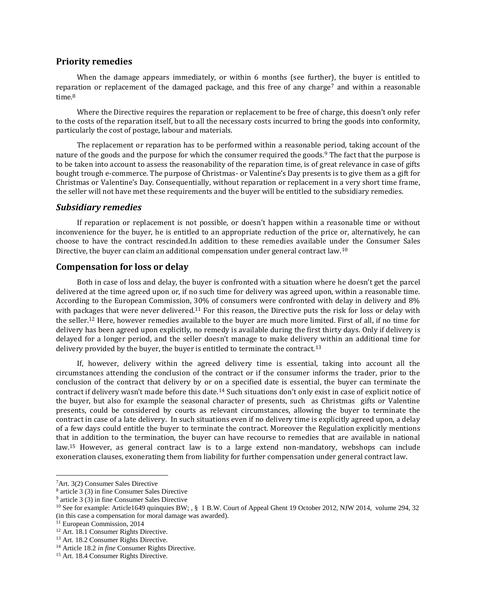#### **Priority remedies**

When the damage appears immediately, or within 6 months (see further), the buyer is entitled to reparation or replacement of the damaged package, and this free of any charge<sup>7</sup> and within a reasonable time.<sup>8</sup>

Where the Directive requires the reparation or replacement to be free of charge, this doesn't only refer to the costs of the reparation itself, but to all the necessary costs incurred to bring the goods into conformity, particularly the cost of postage, labour and materials.

The replacement or reparation has to be performed within a reasonable period, taking account of the nature of the goods and the purpose for which the consumer required the goods.<sup>9</sup> The fact that the purpose is to be taken into account to assess the reasonability of the reparation time, is of great relevance in case of gifts bought trough e-commerce. The purpose of Christmas- or Valentine's Day presents is to give them as a gift for Christmas or Valentine's Day. Consequentially, without reparation or replacement in a very short time frame, the seller will not have met these requirements and the buyer will be entitled to the subsidiary remedies.

#### *Subsidiary remedies*

If reparation or replacement is not possible, or doesn't happen within a reasonable time or without inconvenience for the buyer, he is entitled to an appropriate reduction of the price or, alternatively, he can choose to have the contract rescinded.In addition to these remedies available under the Consumer Sales Directive, the buyer can claim an additional compensation under general contract law.<sup>10</sup>

#### <span id="page-2-0"></span>**Compensation for loss or delay**

Both in case of loss and delay, the buyer is confronted with a situation where he doesn't get the parcel delivered at the time agreed upon or, if no such time for delivery was agreed upon, within a reasonable time. According to the European Commission, 30% of consumers were confronted with delay in delivery and 8% with packages that were never delivered.<sup>11</sup> For this reason, the Directive puts the risk for loss or delay with the seller.<sup>12</sup> Here, however remedies available to the buyer are much more limited. First of all, if no time for delivery has been agreed upon explicitly, no remedy is available during the first thirty days. Only if delivery is delayed for a longer period, and the seller doesn't manage to make delivery within an additional time for delivery provided by the buyer, the buyer is entitled to terminate the contract.<sup>13</sup>

If, however, delivery within the agreed delivery time is essential, taking into account all the circumstances attending the conclusion of the contract or if the consumer informs the trader, prior to the conclusion of the contract that delivery by or on a specified date is essential, the buyer can terminate the contract if delivery wasn't made before this date.<sup>14</sup> Such situations don't only exist in case of explicit notice of the buyer, but also for example the seasonal character of presents, such as Christmas gifts or Valentine presents, could be considered by courts as relevant circumstances, allowing the buyer to terminate the contract in case of a late delivery. In such situations even if no delivery time is explicitly agreed upon, a delay of a few days could entitle the buyer to terminate the contract. Moreover the Regulation explicitly mentions that in addition to the termination, the buyer can have recourse to remedies that are available in national law.<sup>15</sup> However, as general contract law is to a large extend non-mandatory, webshops can include exoneration clauses, exonerating them from liability for further compensation under general contract law.

<sup>7</sup>Art. 3(2) Consumer Sales Directive

<sup>8</sup> article 3 (3) in fine Consumer Sales Directive

<sup>&</sup>lt;sup>9</sup> article 3 (3) in fine Consumer Sales Directive

<sup>&</sup>lt;sup>10</sup> See for example: Article1649 quinquies BW; , § 1 B.W. Court of Appeal Ghent 19 October 2012, NJW 2014, volume 294, 32 (in this case a compensation for moral damage was awarded).

<sup>11</sup> European Commission, 2014

<sup>&</sup>lt;sup>12</sup> Art. 18.1 Consumer Rights Directive.

<sup>13</sup> Art. 18.2 Consumer Rights Directive.

<sup>14</sup> Article 18.2 *in fine* Consumer Rights Directive.

<sup>&</sup>lt;sup>15</sup> Art. 18.4 Consumer Rights Directive.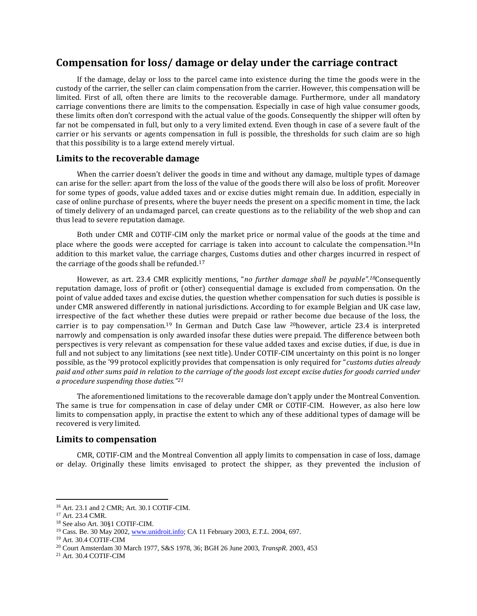# **Compensation for loss/ damage or delay under the carriage contract**

If the damage, delay or loss to the parcel came into existence during the time the goods were in the custody of the carrier, the seller can claim compensation from the carrier. However, this compensation will be limited. First of all, often there are limits to the recoverable damage. Furthermore, under all mandatory carriage conventions there are limits to the compensation. Especially in case of high value consumer goods, these limits often don't correspond with the actual value of the goods. Consequently the shipper will often by far not be compensated in full, but only to a very limited extend. Even though in case of a severe fault of the carrier or his servants or agents compensation in full is possible, the thresholds for such claim are so high that this possibility is to a large extend merely virtual.

#### **Limits to the recoverable damage**

When the carrier doesn't deliver the goods in time and without any damage, multiple types of damage can arise for the seller: apart from the loss of the value of the goods there will also be loss of profit. Moreover for some types of goods, value added taxes and or excise duties might remain due. In addition, especially in case of online purchase of presents, where the buyer needs the present on a specific moment in time, the lack of timely delivery of an undamaged parcel, can create questions as to the reliability of the web shop and can thus lead to severe reputation damage.

Both under CMR and COTIF-CIM only the market price or normal value of the goods at the time and place where the goods were accepted for carriage is taken into account to calculate the compensation.<sup>16</sup>In addition to this market value, the carriage charges, Customs duties and other charges incurred in respect of the carriage of the goods shall be refunded.<sup>17</sup>

However, as art. 23.4 CMR explicitly mentions, "*no further damage shall be payable".<sup>18</sup>*Consequently reputation damage, loss of profit or (other) consequential damage is excluded from compensation. On the point of value added taxes and excise duties, the question whether compensation for such duties is possible is under CMR answered differently in national jurisdictions. According to for example Belgian and UK case law, irrespective of the fact whether these duties were prepaid or rather become due because of the loss, the carrier is to pay compensation.<sup>19</sup> In German and Dutch Case law <sup>20</sup>however, article 23.4 is interpreted narrowly and compensation is only awarded insofar these duties were prepaid. The difference between both perspectives is very relevant as compensation for these value added taxes and excise duties, if due, is due in full and not subject to any limitations (see next title). Under COTIF-CIM uncertainty on this point is no longer possible, as the '99 protocol explicitly provides that compensation is only required for "*customs duties already paid and other sums paid in relation to the carriage of the goods lost except excise duties for goods carried under a procedure suspending those duties."<sup>21</sup>*

The aforementioned limitations to the recoverable damage don't apply under the Montreal Convention. The same is true for compensation in case of delay under CMR or COTIF-CIM. However, as also here low limits to compensation apply, in practise the extent to which any of these additional types of damage will be recovered is very limited.

#### **Limits to compensation**

CMR, COTIF-CIM and the Montreal Convention all apply limits to compensation in case of loss, damage or delay. Originally these limits envisaged to protect the shipper, as they prevented the inclusion of

<sup>16</sup> Art. 23.1 and 2 CMR; Art. 30.1 COTIF-CIM.

<sup>17</sup> Art. 23.4 CMR.

<sup>18</sup> See also Art. 30§1 COTIF-CIM.

<sup>19</sup> Cass. Be. 30 May 2002[, www.unidroit.info;](http://www.unidroit.info/) CA 11 February 2003, *E.T.L.* 2004, 697.

<sup>19</sup> Art. 30.4 COTIF-CIM

<sup>20</sup> Court Amsterdam 30 March 1977, S&S 1978, 36; BGH 26 June 2003, *TranspR.* 2003, 453

<sup>21</sup> Art. 30.4 COTIF-CIM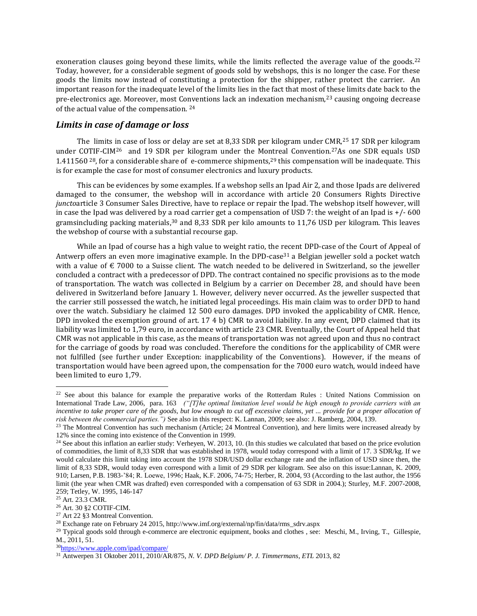exoneration clauses going beyond these limits, while the limits reflected the average value of the goods.<sup>22</sup> Today, however, for a considerable segment of goods sold by webshops, this is no longer the case. For these goods the limits now instead of constituting a protection for the shipper, rather protect the carrier. An important reason for the inadequate level of the limits lies in the fact that most of these limits date back to the pre-electronics age. Moreover, most Conventions lack an indexation mechanism,<sup>23</sup> causing ongoing decrease of the actual value of the compensation. <sup>24</sup>

#### *Limits in case of damage or loss*

The limits in case of loss or delay are set at 8,33 SDR per kilogram under CMR,<sup>25</sup> 17 SDR per kilogram under COTIF-CIM<sup>26</sup> and 19 SDR per kilogram under the Montreal Convention.<sup>27</sup>As one SDR equals USD 1.411560  $^{28}$ , for a considerable share of e-commerce shipments,  $^{29}$  this compensation will be inadequate. This is for example the case for most of consumer electronics and luxury products.

This can be evidences by some examples. If a webshop sells an Ipad Air 2, and those Ipads are delivered damaged to the consumer, the webshop will in accordance with article 20 Consumers Rights Directive *juncto*article 3 Consumer Sales Directive, have to replace or repair the Ipad. The webshop itself however, will in case the Ipad was delivered by a road carrier get a compensation of USD 7: the weight of an Ipad is +/- 600 gramsincluding packing materials,<sup>30</sup> and 8,33 SDR per kilo amounts to 11,76 USD per kilogram. This leaves the webshop of course with a substantial recourse gap.

While an Ipad of course has a high value to weight ratio, the recent DPD-case of the Court of Appeal of Antwerp offers an even more imaginative example. In the DPD-case<sup>31</sup> a Belgian jeweller sold a pocket watch with a value of  $\epsilon$  7000 to a Suisse client. The watch needed to be delivered in Switzerland, so the jeweller concluded a contract with a predecessor of DPD. The contract contained no specific provisions as to the mode of transportation. The watch was collected in Belgium by a carrier on December 28, and should have been delivered in Switzerland before January 1. However, delivery never occurred. As the jeweller suspected that the carrier still possessed the watch, he initiated legal proceedings. His main claim was to order DPD to hand over the watch. Subsidiary he claimed 12 500 euro damages. DPD invoked the applicability of CMR. Hence, DPD invoked the exemption ground of art. 17 4 b) CMR to avoid liability. In any event, DPD claimed that its liability was limited to 1,79 euro, in accordance with article 23 CMR. Eventually, the Court of Appeal held that CMR was not applicable in this case, as the means of transportation was not agreed upon and thus no contract for the carriage of goods by road was concluded. Therefore the conditions for the applicability of CMR were not fulfilled (see further under [Exception: inapplicability of the Conventions\)](#page-11-0). However, if the means of transportation would have been agreed upon, the compensation for the 7000 euro watch, would indeed have been limited to euro 1,79.

<sup>&</sup>lt;sup>22</sup> See about this balance for example the preparative works of the Rotterdam Rules : United Nations Commission on International Trade Law, 2006, para. 163 *("[T]he optimal limitation level would be high enough to provide carriers with an*  incentive to take proper care of the goods, but low enough to cut off excessive claims, yet ... provide for a proper allocation of *risk between the commercial parties.")* See also in this respect: K. Lannan, 2009; see also: J. Ramberg, 2004, 139.

<sup>&</sup>lt;sup>23</sup> The Montreal Convention has such mechanism (Article; 24 Montreal Convention), and here limits were increased already by 12% since the coming into existence of the Convention in 1999.

 $24$  See about this inflation an earlier study: Verheyen, W. 2013, 10. (In this studies we calculated that based on the price evolution of commodities, the limit of 8,33 SDR that was established in 1978, would today correspond with a limit of 17. 3 SDR/kg. If we would calculate this limit taking into account the 1978 SDR/USD dollar exchange rate and the inflation of USD since then, the limit of 8,33 SDR, would today even correspond with a limit of 29 SDR per kilogram. See also on this issue:Lannan, K. 2009, 910; Larsen, P.B. 1983-'84; R. Loewe, 1996; Haak, K.F. 2006, 74-75; Herber, R. 2004, 93 (According to the last author, the 1956 limit (the year when CMR was drafted) even corresponded with a compensation of 63 SDR in 2004.); Sturley, M.F. 2007-2008, 259; Tetley, W. 1995, 146-147

<sup>&</sup>lt;sup>25</sup> Art. 23.3 CMR.

<sup>26</sup> Art. 30 §2 COTIF-CIM.

<sup>27</sup> Art 22 §3 Montreal Convention.

<sup>28</sup> Exchange rate on February 24 2015, http://www.imf.org/external/np/fin/data/rms\_sdrv.aspx

 $^{29}$  Typical goods sold through e-commerce are electronic equipment, books and clothes, see: Meschi, M., Irving, T., Gillespie, M., 2011, 51.

<sup>30</sup><https://www.apple.com/ipad/compare/>

<sup>31</sup> Antwerpen 31 Oktober 2011, 2010/AR/875, *N. V. DPD Belgium/ P. J. Timmermans*, *ETL* 2013, 82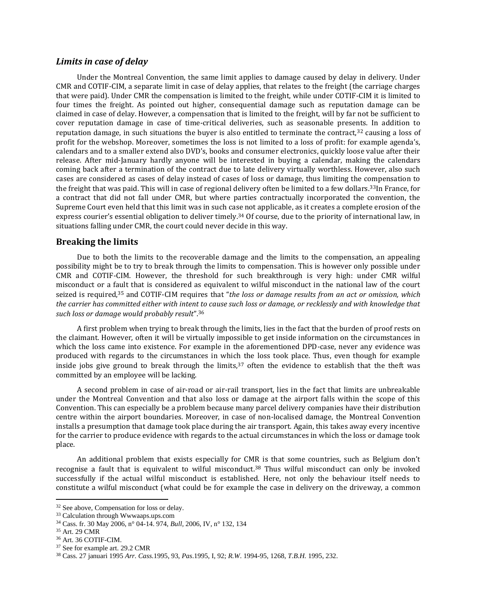#### *Limits in case of delay*

Under the Montreal Convention, the same limit applies to damage caused by delay in delivery. Under CMR and COTIF-CIM, a separate limit in case of delay applies, that relates to the freight (the carriage charges that were paid). Under CMR the compensation is limited to the freight, while under COTIF-CIM it is limited to four times the freight. As pointed out higher, consequential damage such as reputation damage can be claimed in case of delay. However, a compensation that is limited to the freight, will by far not be sufficient to cover reputation damage in case of time-critical deliveries, such as seasonable presents. In addition to reputation damage, in such situations the buyer is also entitled to terminate the contract,  $32$  causing a loss of profit for the webshop. Moreover, sometimes the loss is not limited to a loss of profit: for example agenda's, calendars and to a smaller extend also DVD's, books and consumer electronics, quickly loose value after their release. After mid-January hardly anyone will be interested in buying a calendar, making the calendars coming back after a termination of the contract due to late delivery virtually worthless. However, also such cases are considered as cases of delay instead of cases of loss or damage, thus limiting the compensation to the freight that was paid. This will in case of regional delivery often be limited to a few dollars.<sup>33</sup>In France, for a contract that did not fall under CMR, but where parties contractually incorporated the convention, the Supreme Court even held that this limit was in such case not applicable, as it creates a complete erosion of the express courier's essential obligation to deliver timely.<sup>34</sup> Of course, due to the priority of international law, in situations falling under CMR, the court could never decide in this way.

#### **Breaking the limits**

Due to both the limits to the recoverable damage and the limits to the compensation, an appealing possibility might be to try to break through the limits to compensation. This is however only possible under CMR and COTIF-CIM. However, the threshold for such breakthrough is very high: under CMR wilful misconduct or a fault that is considered as equivalent to wilful misconduct in the national law of the court seized is required,<sup>35</sup> and COTIF-CIM requires that "*the loss or damage results from an act or omission, which the carrier has committed either with intent to cause such loss or damage, or recklessly and with knowledge that such loss or damage would probably result*".<sup>36</sup>

A first problem when trying to break through the limits, lies in the fact that the burden of proof rests on the claimant. However, often it will be virtually impossible to get inside information on the circumstances in which the loss came into existence. For example in the aforementioned DPD-case, never any evidence was produced with regards to the circumstances in which the loss took place. Thus, even though for example inside jobs give ground to break through the limits, $37$  often the evidence to establish that the theft was committed by an employee will be lacking.

A second problem in case of air-road or air-rail transport, lies in the fact that limits are unbreakable under the Montreal Convention and that also loss or damage at the airport falls within the scope of this Convention. This can especially be a problem because many parcel delivery companies have their distribution centre within the airport boundaries. Moreover, in case of non-localised damage, the Montreal Convention installs a presumption that damage took place during the air transport. Again, this takes away every incentive for the carrier to produce evidence with regards to the actual circumstances in which the loss or damage took place.

An additional problem that exists especially for CMR is that some countries, such as Belgium don't recognise a fault that is equivalent to wilful misconduct.<sup>38</sup> Thus wilful misconduct can only be invoked successfully if the actual wilful misconduct is established. Here, not only the behaviour itself needs to constitute a wilful misconduct (what could be for example the case in delivery on the driveway, a common

<sup>&</sup>lt;sup>32</sup> See above[, Compensation for loss or delay.](#page-2-0)

<sup>33</sup> Calculation through Wwwaaps.ups.com

<sup>34</sup> Cass. fr. 30 May 2006, n° 04-14. 974, *Bull,* 2006, IV, n° 132, 134

<sup>35</sup> Art. 29 CMR

<sup>36</sup> Art. 36 COTIF-CIM.

<sup>37</sup> See for example art. 29.2 CMR

<sup>38</sup> Cass. 27 januari 1995 *Arr. Cass.*1995, 93, *Pas*.1995, I, 92; *R.W*. 1994-95, 1268, *T.B.H.* 1995, 232.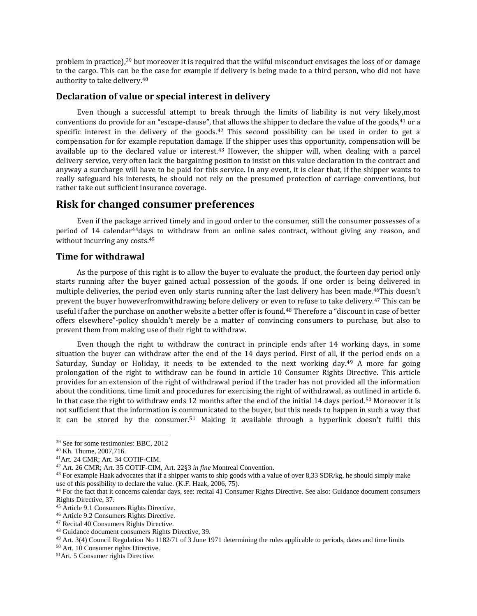problem in practice),<sup>39</sup> but moreover it is required that the wilful misconduct envisages the loss of or damage to the cargo. This can be the case for example if delivery is being made to a third person, who did not have authority to take delivery.<sup>40</sup>

#### **Declaration of value or special interest in delivery**

Even though a successful attempt to break through the limits of liability is not very likely,most conventions do provide for an "escape-clause", that allows the shipper to declare the value of the goods,<sup>41</sup> or a specific interest in the delivery of the goods.<sup>42</sup> This second possibility can be used in order to get a compensation for for example reputation damage. If the shipper uses this opportunity, compensation will be available up to the declared value or interest.<sup>43</sup> However, the shipper will, when dealing with a parcel delivery service, very often lack the bargaining position to insist on this value declaration in the contract and anyway a surcharge will have to be paid for this service. In any event, it is clear that, if the shipper wants to really safeguard his interests, he should not rely on the presumed protection of carriage conventions, but rather take out sufficient insurance coverage.

## **Risk for changed consumer preferences**

Even if the package arrived timely and in good order to the consumer, still the consumer possesses of a period of 14 calendar<sup>44</sup>days to withdraw from an online sales contract, without giving any reason, and without incurring any costs.<sup>45</sup>

#### **Time for withdrawal**

As the purpose of this right is to allow the buyer to evaluate the product, the fourteen day period only starts running after the buyer gained actual possession of the goods. If one order is being delivered in multiple deliveries, the period even only starts running after the last delivery has been made.<sup>46</sup>This doesn't prevent the buyer howeverfromwithdrawing before delivery or even to refuse to take delivery.<sup>47</sup> This can be useful if after the purchase on another website a better offer is found.<sup>48</sup> Therefore a "discount in case of better offers elsewhere"-policy shouldn't merely be a matter of convincing consumers to purchase, but also to prevent them from making use of their right to withdraw.

Even though the right to withdraw the contract in principle ends after 14 working days, in some situation the buyer can withdraw after the end of the 14 days period. First of all, if the period ends on a Saturday, Sunday or Holiday, it needs to be extended to the next working day.<sup>49</sup> A more far going prolongation of the right to withdraw can be found in article 10 Consumer Rights Directive. This article provides for an extension of the right of withdrawal period if the trader has not provided all the information about the conditions, time limit and procedures for exercising the right of withdrawal, as outlined in article 6. In that case the right to withdraw ends 12 months after the end of the initial 14 days period.<sup>50</sup> Moreover it is not sufficient that the information is communicated to the buyer, but this needs to happen in such a way that it can be stored by the consumer.<sup>51</sup> Making it available through a hyperlink doesn't fulfil this

<sup>39</sup> See for some testimonies: BBC, 2012

<sup>40</sup> Kh. Thume, 2007,716.

<sup>41</sup>Art. 24 CMR; Art. 34 COTIF-CIM.

<sup>42</sup> Art. 26 CMR; Art. 35 COTIF-CIM, Art. 22§3 *in fine* Montreal Convention.

 $43$  For example Haak advocates that if a shipper wants to ship goods with a value of over 8,33 SDR/kg, he should simply make use of this possibility to declare the value. (K.F. Haak, 2006, 75).

<sup>44</sup> For the fact that it concerns calendar days, see: recital 41 Consumer Rights Directive. See also: Guidance document consumers Rights Directive, 37.

<sup>45</sup> Article 9.1 Consumers Rights Directive.

<sup>46</sup> Article 9.2 Consumers Rights Directive.

<sup>47</sup> Recital 40 Consumers Rights Directive.

<sup>48</sup> Guidance document consumers Rights Directive, 39.

<sup>&</sup>lt;sup>49</sup> Art. 3(4) Council Regulation No 1182/71 of 3 June 1971 determining the rules applicable to periods, dates and time limits

<sup>50</sup> Art. 10 Consumer rights Directive.

<sup>51</sup>Art. 5 Consumer rights Directive.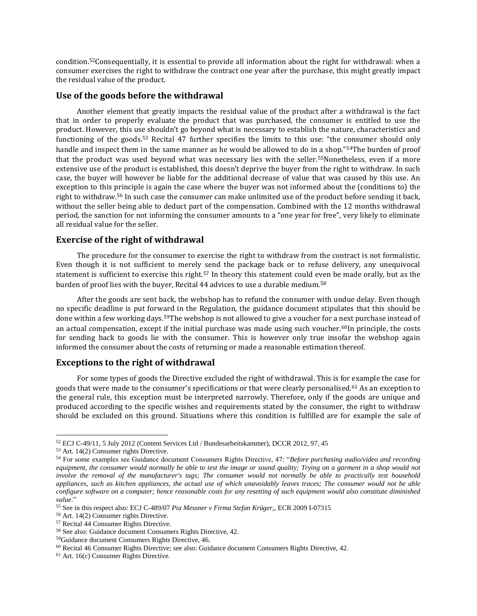condition.<sup>52</sup>Consequentially, it is essential to provide all information about the right for withdrawal: when a consumer exercises the right to withdraw the contract one year after the purchase, this might greatly impact the residual value of the product.

### **Use of the goods before the withdrawal**

Another element that greatly impacts the residual value of the product after a withdrawal is the fact that in order to properly evaluate the product that was purchased, the consumer is entitled to use the product. However, this use shouldn't go beyond what is necessary to establish the nature, characteristics and functioning of the goods.<sup>53</sup> Recital 47 further specifies the limits to this use: "the consumer should only handle and inspect them in the same manner as he would be allowed to do in a shop."<sup>54</sup>The burden of proof that the product was used beyond what was necessary lies with the seller.<sup>55</sup>Nonetheless, even if a more extensive use of the product is established, this doesn't deprive the buyer from the right to withdraw. In such case, the buyer will however be liable for the additional decrease of value that was caused by this use. An exception to this principle is again the case where the buyer was not informed about the (conditions to) the right to withdraw.<sup>56</sup> In such case the consumer can make unlimited use of the product before sending it back, without the seller being able to deduct part of the compensation. Combined with the 12 months withdrawal period, the sanction for not informing the consumer amounts to a "one year for free", very likely to eliminate all residual value for the seller.

#### **Exercise of the right of withdrawal**

The procedure for the consumer to exercise the right to withdraw from the contract is not formalistic. Even though it is not sufficient to merely send the package back or to refuse delivery, any unequivocal statement is sufficient to exercise this right.<sup>57</sup> In theory this statement could even be made orally, but as the burden of proof lies with the buyer, Recital 44 advices to use a durable medium.<sup>58</sup>

After the goods are sent back, the webshop has to refund the consumer with undue delay. Even though no specific deadline is put forward in the Regulation, the guidance document stipulates that this should be done within a few working days.<sup>59</sup>The webshop is not allowed to give a voucher for a next purchase instead of an actual compensation, except if the initial purchase was made using such voucher.<sup>60</sup>In principle, the costs for sending back to goods lie with the consumer. This is however only true insofar the webshop again informed the consumer about the costs of returning or made a reasonable estimation thereof.

#### **Exceptions to the right of withdrawal**

For some types of goods the Directive excluded the right of withdrawal. This is for example the case for goods that were made to the consumer's specifications or that were clearly personalised.<sup>61</sup> As an exception to the general rule, this exception must be interpreted narrowly. Therefore, only if the goods are unique and produced according to the specific wishes and requirements stated by the consumer, the right to withdraw should be excluded on this ground. Situations where this condition is fulfilled are for example the sale of

<sup>52</sup> ECJ C-49/11, 5 July 2012 (Content Services Ltd / Bundesarbeitskammer), DCCR 2012, 97, 45

<sup>53</sup> Art. 14(2) Consumer rights Directive.

<sup>54</sup> For some examples see Guidance document Consumers Rights Directive, 47: "*Before purchasing audio/video and recording*  equipment, the consumer would normally be able to test the image or sound quality; Trying on a garment in a shop would not *involve the removal of the manufacturer's tags; The consumer would not normally be able to practically test household appliances, such as kitchen appliances, the actual use of which unavoidably leaves traces; The consumer would not be able configure software on a computer; hence reasonable costs for any resetting of such equipment would also constitute diminished value*."

<sup>55</sup> See in this respect also: ECJ C-489/07 *Pia Messner v Firma Stefan Krüger,,* ECR 2009 I-07315

<sup>56</sup> Art. 14(2) Consumer rights Directive.

<sup>57</sup> Recital 44 Consumer Rights Directive.

<sup>58</sup> See also: Guidance document Consumers Rights Directive, 42.

<sup>59</sup>Guidance document Consumers Rights Directive, 46.

<sup>60</sup> Recital 46 Consumer Rights Directive; see also: Guidance document Consumers Rights Directive, 42.

<sup>61</sup> Art. 16(c) Consumer Rights Directive.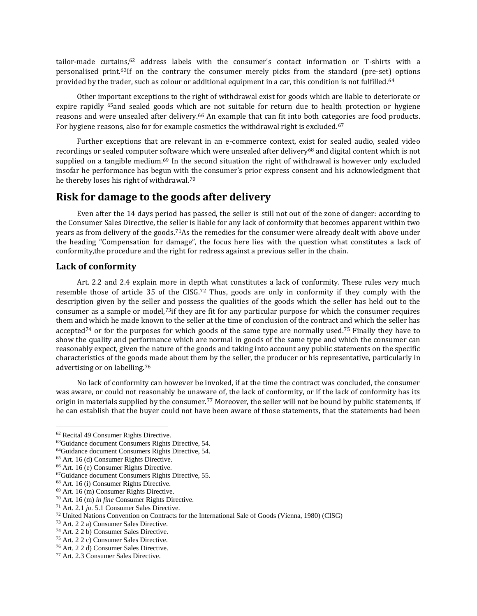tailor-made curtains,<sup>62</sup> address labels with the consumer's contact information or T-shirts with a personalised print.<sup>63</sup>If on the contrary the consumer merely picks from the standard (pre-set) options provided by the trader, such as colour or additional equipment in a car, this condition is not fulfilled.<sup>64</sup>

Other important exceptions to the right of withdrawal exist for goods which are liable to deteriorate or expire rapidly <sup>65</sup>and sealed goods which are not suitable for return due to health protection or hygiene reasons and were unsealed after delivery.<sup>66</sup> An example that can fit into both categories are food products. For hygiene reasons, also for for example cosmetics the withdrawal right is excluded.<sup>67</sup>

Further exceptions that are relevant in an e-commerce context, exist for sealed audio, sealed video recordings or sealed computer software which were unsealed after delivery<sup>68</sup> and digital content which is not supplied on a tangible medium.<sup>69</sup> In the second situation the right of withdrawal is however only excluded insofar he performance has begun with the consumer's prior express consent and his acknowledgment that he thereby loses his right of withdrawal.<sup>70</sup>

## **Risk for damage to the goods after delivery**

Even after the 14 days period has passed, the seller is still not out of the zone of danger: according to the Consumer Sales Directive, the seller is liable for any lack of conformity that becomes apparent within two years as from delivery of the goods.<sup>71</sup>As the remedies for the consumer were already dealt with above under the heading "[Compensation for damage](#page-1-0)", the focus here lies with the question what constitutes a lack of conformity,the procedure and the right for redress against a previous seller in the chain.

#### **Lack of conformity**

Art. 2.2 and 2.4 explain more in depth what constitutes a lack of conformity. These rules very much resemble those of article 35 of the CISG.<sup>72</sup> Thus, goods are only in conformity if they comply with the description given by the seller and possess the qualities of the goods which the seller has held out to the consumer as a sample or model,<sup>73</sup>if they are fit for any particular purpose for which the consumer requires them and which he made known to the seller at the time of conclusion of the contract and which the seller has accepted<sup>74</sup> or for the purposes for which goods of the same type are normally used.<sup>75</sup> Finally they have to show the quality and performance which are normal in goods of the same type and which the consumer can reasonably expect, given the nature of the goods and taking into account any public statements on the specific characteristics of the goods made about them by the seller, the producer or his representative, particularly in advertising or on labelling.<sup>76</sup>

No lack of conformity can however be invoked, if at the time the contract was concluded, the consumer was aware, or could not reasonably be unaware of, the lack of conformity, or if the lack of conformity has its origin in materials supplied by the consumer.<sup>77</sup> Moreover, the seller will not be bound by public statements, if he can establish that the buyer could not have been aware of those statements, that the statements had been

<sup>62</sup> Recital 49 Consumer Rights Directive.

<sup>63</sup>Guidance document Consumers Rights Directive, 54.

<sup>64</sup>Guidance document Consumers Rights Directive, 54.

<sup>65</sup> Art. 16 (d) Consumer Rights Directive.

<sup>66</sup> Art. 16 (e) Consumer Rights Directive.

<sup>67</sup>Guidance document Consumers Rights Directive, 55.

<sup>68</sup> Art. 16 (i) Consumer Rights Directive.

<sup>69</sup> Art. 16 (m) Consumer Rights Directive.

<sup>70</sup> Art. 16 (m) *in fine* Consumer Rights Directive.

<sup>71</sup> Art. 2.1 *jo.* 5.1 Consumer Sales Directive.

<sup>72</sup> United Nations Convention on Contracts for the International Sale of Goods (Vienna, 1980) (CISG)

<sup>73</sup> Art. 2 2 a) Consumer Sales Directive.

<sup>74</sup> Art. 2 2 b) Consumer Sales Directive.

<sup>75</sup> Art. 2 2 c) Consumer Sales Directive.

<sup>76</sup> Art. 2 2 d) Consumer Sales Directive.

<sup>77</sup> Art. 2.3 Consumer Sales Directive.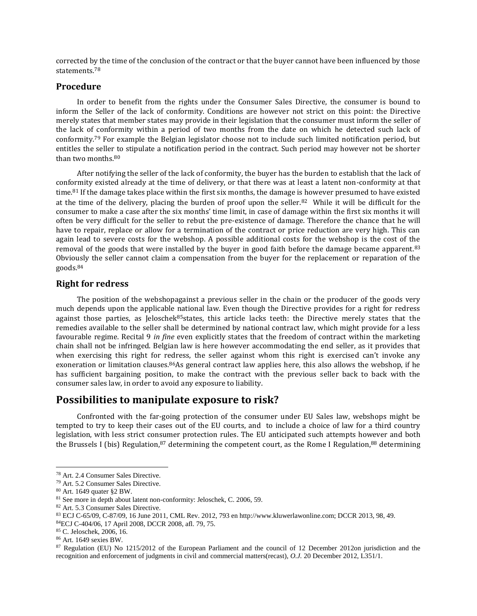corrected by the time of the conclusion of the contract or that the buyer cannot have been influenced by those statements.<sup>78</sup>

#### **Procedure**

In order to benefit from the rights under the Consumer Sales Directive, the consumer is bound to inform the Seller of the lack of conformity. Conditions are however not strict on this point: the Directive merely states that member states may provide in their legislation that the consumer must inform the seller of the lack of conformity within a period of two months from the date on which he detected such lack of conformity.<sup>79</sup> For example the Belgian legislator choose not to include such limited notification period, but entitles the seller to stipulate a notification period in the contract. Such period may however not be shorter than two months.<sup>80</sup>

After notifying the seller of the lack of conformity, the buyer has the burden to establish that the lack of conformity existed already at the time of delivery, or that there was at least a latent non-conformity at that time.<sup>81</sup> If the damage takes place within the first six months, the damage is however presumed to have existed at the time of the delivery, placing the burden of proof upon the seller.<sup>82</sup> While it will be difficult for the consumer to make a case after the six months' time limit, in case of damage within the first six months it will often be very difficult for the seller to rebut the pre-existence of damage. Therefore the chance that he will have to repair, replace or allow for a termination of the contract or price reduction are very high. This can again lead to severe costs for the webshop. A possible additional costs for the webshop is the cost of the removal of the goods that were installed by the buyer in good faith before the damage became apparent.<sup>83</sup> Obviously the seller cannot claim a compensation from the buyer for the replacement or reparation of the goods.<sup>84</sup>

#### **Right for redress**

The position of the webshopagainst a previous seller in the chain or the producer of the goods very much depends upon the applicable national law. Even though the Directive provides for a right for redress against those parties, as Jeloschek<sup>85</sup>states, this article lacks teeth: the Directive merely states that the remedies available to the seller shall be determined by national contract law, which might provide for a less favourable regime. Recital 9 *in fine* even explicitly states that the freedom of contract within the marketing chain shall not be infringed. Belgian law is here however accommodating the end seller, as it provides that when exercising this right for redress, the seller against whom this right is exercised can't invoke any exoneration or limitation clauses.<sup>86</sup>As general contract law applies here, this also allows the webshop, if he has sufficient bargaining position, to make the contract with the previous seller back to back with the consumer sales law, in order to avoid any exposure to liability.

# **Possibilities to manipulate exposure to risk?**

Confronted with the far-going protection of the consumer under EU Sales law, webshops might be tempted to try to keep their cases out of the EU courts, and to include a choice of law for a third country legislation, with less strict consumer protection rules. The EU anticipated such attempts however and both the Brussels I (bis) Regulation, <sup>87</sup> determining the competent court, as the Rome I Regulation, <sup>88</sup> determining

<sup>78</sup> Art. 2.4 Consumer Sales Directive.

<sup>79</sup> Art. 5.2 Consumer Sales Directive.

<sup>80</sup> Art. 1649 quater §2 BW.

<sup>81</sup> See more in depth about latent non-conformity: Jeloschek, C. 2006, 59.

<sup>82</sup> Art. 5.3 Consumer Sales Directive.

<sup>83</sup> ECJ C-65/09, C-87/09, 16 June 2011, CML Rev. 2012, 793 en http://www.kluwerlawonline.com; DCCR 2013, 98, 49.

<sup>84</sup>ECJ C-404/06, 17 April 2008, DCCR 2008, afl. 79, 75.

<sup>85</sup> C. Jeloschek, 2006, 16.

<sup>86</sup> Art. 1649 sexies BW.

<sup>87</sup> Regulation (EU) No 1215/2012 of the European Parliament and the council of 12 December 2012on jurisdiction and the recognition and enforcement of judgments in civil and commercial matters(recast), *O.J.* 20 December 2012, L351/1.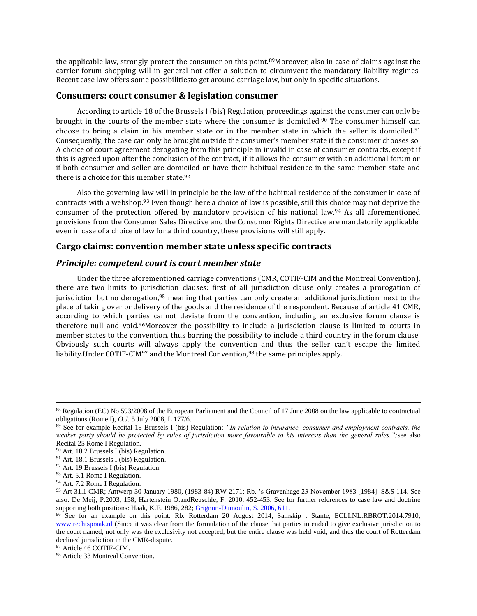the applicable law, strongly protect the consumer on this point.<sup>89</sup>Moreover, also in case of claims against the carrier forum shopping will in general not offer a solution to circumvent the mandatory liability regimes. Recent case law offers some possibilitiesto get around carriage law, but only in specific situations.

#### **Consumers: court consumer & legislation consumer**

According to article 18 of the Brussels I (bis) Regulation, proceedings against the consumer can only be brought in the courts of the member state where the consumer is domiciled.<sup>90</sup> The consumer himself can choose to bring a claim in his member state or in the member state in which the seller is domiciled.<sup>91</sup> Consequently, the case can only be brought outside the consumer's member state if the consumer chooses so. A choice of court agreement derogating from this principle in invalid in case of consumer contracts, except if this is agreed upon after the conclusion of the contract, if it allows the consumer with an additional forum or if both consumer and seller are domiciled or have their habitual residence in the same member state and there is a choice for this member state.<sup>92</sup>

Also the governing law will in principle be the law of the habitual residence of the consumer in case of contracts with a webshop.<sup>93</sup> Even though here a choice of law is possible, still this choice may not deprive the consumer of the protection offered by mandatory provision of his national law.<sup>94</sup> As all aforementioned provisions from the Consumer Sales Directive and the Consumer Rights Directive are mandatorily applicable, even in case of a choice of law for a third country, these provisions will still apply.

#### **Cargo claims: convention member state unless specific contracts**

#### *Principle: competent court is court member state*

Under the three aforementioned carriage conventions (CMR, COTIF-CIM and the Montreal Convention), there are two limits to jurisdiction clauses: first of all jurisdiction clause only creates a prorogation of jurisdiction but no derogation,<sup>95</sup> meaning that parties can only create an additional jurisdiction, next to the place of taking over or delivery of the goods and the residence of the respondent. Because of article 41 CMR, according to which parties cannot deviate from the convention, including an exclusive forum clause is therefore null and void.<sup>96</sup>Moreover the possibility to include a jurisdiction clause is limited to courts in member states to the convention, thus barring the possibility to include a third country in the forum clause. Obviously such courts will always apply the convention and thus the seller can't escape the limited liability.Under COTIF-CIM<sup>97</sup> and the Montreal Convention,<sup>98</sup> the same principles apply.

<sup>88</sup> Regulation (EC) No 593/2008 of the European Parliament and the Council of 17 June 2008 on the law applicable to contractual obligations (Rome I), *O.J.* 5 July 2008, L 177/6.

<sup>89</sup> See for example Recital 18 Brussels I (bis) Regulation: *"In relation to insurance, consumer and employment contracts, the weaker party should be protected by rules of jurisdiction more favourable to his interests than the general rules.";*see also Recital 25 Rome I Regulation.

<sup>90</sup> Art. 18.2 Brussels I (bis) Regulation.

<sup>&</sup>lt;sup>91</sup> Art. 18.1 Brussels I (bis) Regulation.

<sup>92</sup> Art. 19 Brussels I (bis) Regulation.

<sup>93</sup> Art. 5.1 Rome I Regulation.

<sup>94</sup> Art. 7.2 Rome I Regulation.

<sup>95</sup> Art 31.1 CMR; Antwerp 30 January 1980, (1983-84) RW 2171; Rb. 's Gravenhage 23 November 1983 [1984] S&S 114. See also: De Meij, P.2003, 158; Hartenstein O.andReuschle, F. 2010, 452-453. See for further references to case law and doctrine supporting both positions: Haak, K.F. 1986, 282; Grignon-Dumoulin, S. 2006, 611.

<sup>96</sup> See for an example on this point: Rb. Rotterdam 20 August 2014, Samskip t Stante, ECLI:NL:RBROT:2014:7910, [www.rechtspraak.nl](http://www.rechtspraak.nl/) (Since it was clear from the formulation of the clause that parties intended to give exclusive jurisdiction to the court named, not only was the exclusivity not accepted, but the entire clause was held void, and thus the court of Rotterdam declined jurisdiction in the CMR-dispute.

<sup>97</sup> Article 46 COTIF-CIM.

<sup>98</sup> Article 33 Montreal Convention.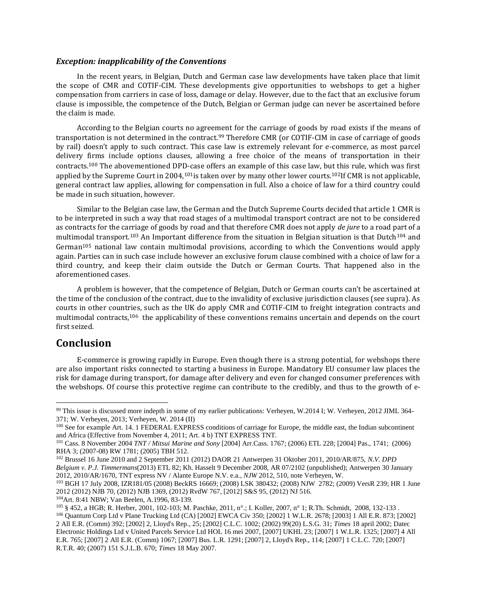#### <span id="page-11-0"></span>*Exception: inapplicability of the Conventions*

In the recent years, in Belgian, Dutch and German case law developments have taken place that limit the scope of CMR and COTIF-CIM. These developments give opportunities to webshops to get a higher compensation from carriers in case of loss, damage or delay. However, due to the fact that an exclusive forum clause is impossible, the competence of the Dutch, Belgian or German judge can never be ascertained before the claim is made.

According to the Belgian courts no agreement for the carriage of goods by road exists if the means of transportation is not determined in the contract.<sup>99</sup> Therefore CMR (or COTIF-CIM in case of carriage of goods by rail) doesn't apply to such contract. This case law is extremely relevant for e-commerce, as most parcel delivery firms include options clauses, allowing a free choice of the means of transportation in their contracts.<sup>100</sup> The abovementioned DPD-case offers an example of this case law, but this rule, which was first applied by the Supreme Court in 2004,<sup>101</sup>is taken over by many other lower courts.<sup>102</sup>If CMR is not applicable, general contract law applies, allowing for compensation in full. Also a choice of law for a third country could be made in such situation, however.

Similar to the Belgian case law, the German and the Dutch Supreme Courts decided that article 1 CMR is to be interpreted in such a way that road stages of a multimodal transport contract are not to be considered as contracts for the carriage of goods by road and that therefore CMR does not apply *de jure* to a road part of a multimodal transport.<sup>103</sup> An Important difference from the situation in Belgian situation is that Dutch<sup>104</sup> and German<sup>105</sup> national law contain multimodal provisions, according to which the Conventions would apply again. Parties can in such case include however an exclusive forum clause combined with a choice of law for a third country, and keep their claim outside the Dutch or German Courts. That happened also in the aforementioned cases.

A problem is however, that the competence of Belgian, Dutch or German courts can't be ascertained at the time of the conclusion of the contract, due to the invalidity of exclusive jurisdiction clauses (see supra). As courts in other countries, such as the UK do apply CMR and COTIF-CIM to freight integration contracts and multimodal contracts,<sup>106</sup> the applicability of these conventions remains uncertain and depends on the court first seized.

## **Conclusion**

 $\overline{\phantom{a}}$ 

E-commerce is growing rapidly in Europe. Even though there is a strong potential, for webshops there are also important risks connected to starting a business in Europe. Mandatory EU consumer law places the risk for damage during transport, for damage after delivery and even for changed consumer preferences with the webshops. Of course this protective regime can contribute to the credibly, and thus to the growth of e-

<sup>104</sup>Art. 8:41 NBW; Van Beelen, A.1996, 83-139.

<sup>99</sup> This issue is discussed more indepth in some of my earlier publications: Verheyen, W.2014 I; W. Verheyen, 2012 JIML 364- 371; W. Verheyen, 2013; Verheyen, W. 2014 (II)

<sup>&</sup>lt;sup>100</sup> See for example Art. 14. 1 FEDERAL EXPRESS conditions of carriage for Europe, the middle east, the Indian subcontinent and Africa (Effective from November 4, 2011; Art. 4 b) TNT EXPRESS TNT.

<sup>101</sup> Cass. 8 November 2004 *TNT / Mitsui Marine and Sony* [2004] Arr.Cass. 1767; (2006) ETL 228; [2004] Pas., 1741; (2006) RHA 3; (2007-08) RW 1781; (2005) TBH 512.

<sup>102</sup> Brussel 16 June 2010 and 2 September 2011 (2012) DAOR 21 Antwerpen 31 Oktober 2011, 2010/AR/875, *N.V. DPD Belgium v. P.J. Timmermans*(2013) ETL 82; Kh. Hasselt 9 December 2008, AR 07/2102 (unpublished); Antwerpen 30 January 2012, 2010/AR/1670, TNT express NV / Alante Europe N.V. e.a*.*, *NJW* 2012, 510*,* note Verheyen, W.

<sup>103</sup> BGH 17 July 2008, IZR181/05 (2008) BeckRS 16669; (2008) LSK 380432; (2008) NJW 2782; (2009) VersR 239; HR 1 June 2012 (2012) NJB 70, (2012) NJB 1369, (2012) RvdW 767, [2012] S&S 95, (2012) NJ 516.

<sup>105</sup> § 452, a HGB; R. Herber, 2001, 102-103; M. Paschke, 2011, n°.; I. Koller, 2007, n° 1; R.Th. Schmidt, 2008, 132-133 . <sup>106</sup> Quantum Corp Ltd v Plane Trucking Ltd (CA) [2002] EWCA Civ 350; [2002] 1 W.L.R. 2678; [2003] 1 All E.R. 873; [2002] 2 All E.R. (Comm) 392; [2002] 2, Lloyd's Rep., 25; [2002] C.L.C. 1002; (2002) 99(20) L.S.G. 31; *Times* 18 april 2002; Datec Electronic Holdings Ltd v United Parcels Service Ltd HOL 16 mei 2007, [2007] UKHL 23; [2007] 1 W.L.R. 1325; [2007] 4 All E.R. 765; [2007] 2 All E.R. (Comm) 1067; [2007] Bus. L.R. 1291; [2007] 2, Lloyd's Rep., 114; [2007] 1 C.L.C. 720; [2007] R.T.R. 40; (2007) 151 S.J.L.B. 670; *Times* 18 May 2007.